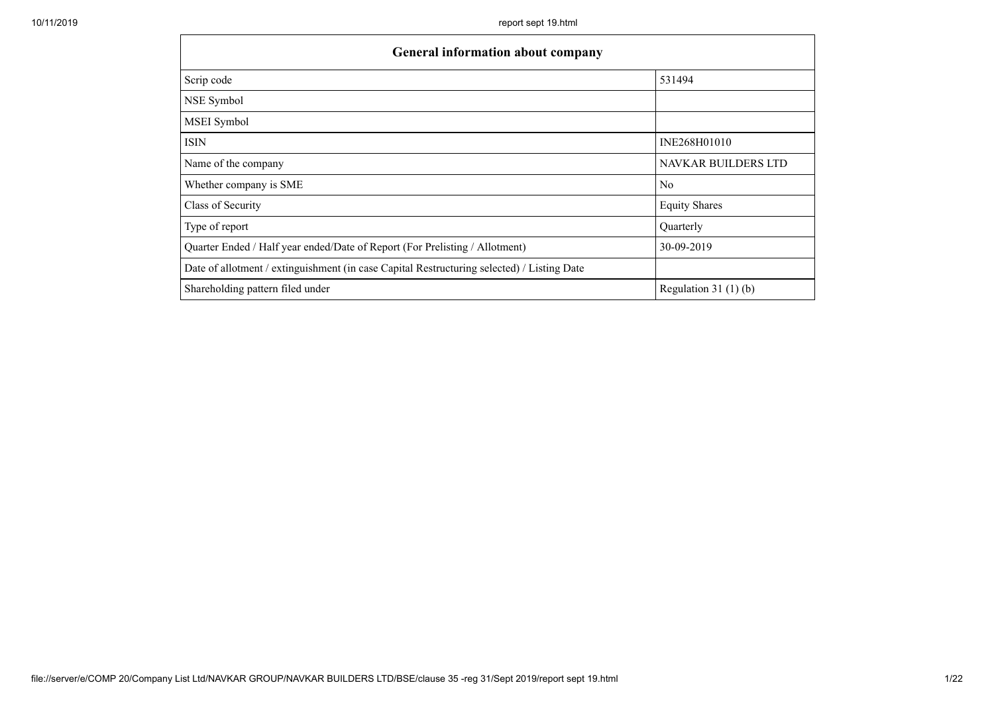| General information about company                                                          |                            |
|--------------------------------------------------------------------------------------------|----------------------------|
| Scrip code                                                                                 | 531494                     |
| NSE Symbol                                                                                 |                            |
| MSEI Symbol                                                                                |                            |
| ISIN                                                                                       | INE268H01010               |
| Name of the company                                                                        | <b>NAVKAR BUILDERS LTD</b> |
| Whether company is SME                                                                     | N <sub>0</sub>             |
| Class of Security                                                                          | <b>Equity Shares</b>       |
| Type of report                                                                             | Quarterly                  |
| Quarter Ended / Half year ended/Date of Report (For Prelisting / Allotment)                | 30-09-2019                 |
| Date of allotment / extinguishment (in case Capital Restructuring selected) / Listing Date |                            |
| Shareholding pattern filed under                                                           | Regulation 31 $(1)(b)$     |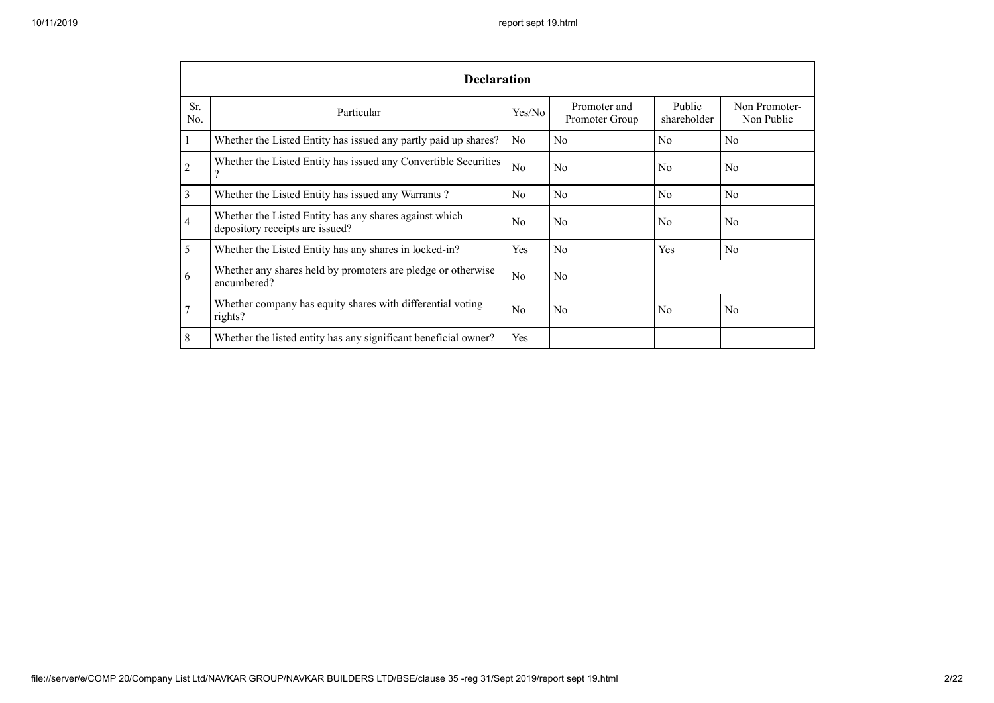|            | <b>Declaration</b>                                                                          |                |                                |                       |                             |  |  |  |  |
|------------|---------------------------------------------------------------------------------------------|----------------|--------------------------------|-----------------------|-----------------------------|--|--|--|--|
| Sr.<br>No. | Particular                                                                                  | Yes/No         | Promoter and<br>Promoter Group | Public<br>shareholder | Non Promoter-<br>Non Public |  |  |  |  |
|            | Whether the Listed Entity has issued any partly paid up shares?                             | N <sub>0</sub> | No                             | No                    | No                          |  |  |  |  |
| 2          | Whether the Listed Entity has issued any Convertible Securities<br>$\overline{\mathcal{L}}$ | N <sub>o</sub> | N <sub>0</sub>                 | N <sub>0</sub>        | N <sub>0</sub>              |  |  |  |  |
| 3          | Whether the Listed Entity has issued any Warrants?                                          | N <sub>0</sub> | N <sub>0</sub>                 | N <sub>0</sub>        | N <sub>0</sub>              |  |  |  |  |
| 4          | Whether the Listed Entity has any shares against which<br>depository receipts are issued?   | N <sub>0</sub> | N <sub>0</sub>                 | N <sub>0</sub>        | N <sub>0</sub>              |  |  |  |  |
| 5          | Whether the Listed Entity has any shares in locked-in?                                      | Yes            | No                             | Yes                   | N <sub>0</sub>              |  |  |  |  |
| 6          | Whether any shares held by promoters are pledge or otherwise<br>encumbered?                 | No             | N <sub>0</sub>                 |                       |                             |  |  |  |  |
| 7          | Whether company has equity shares with differential voting<br>rights?                       | No             | N <sub>0</sub>                 | N <sub>0</sub>        | No                          |  |  |  |  |
| 8          | Whether the listed entity has any significant beneficial owner?                             | Yes            |                                |                       |                             |  |  |  |  |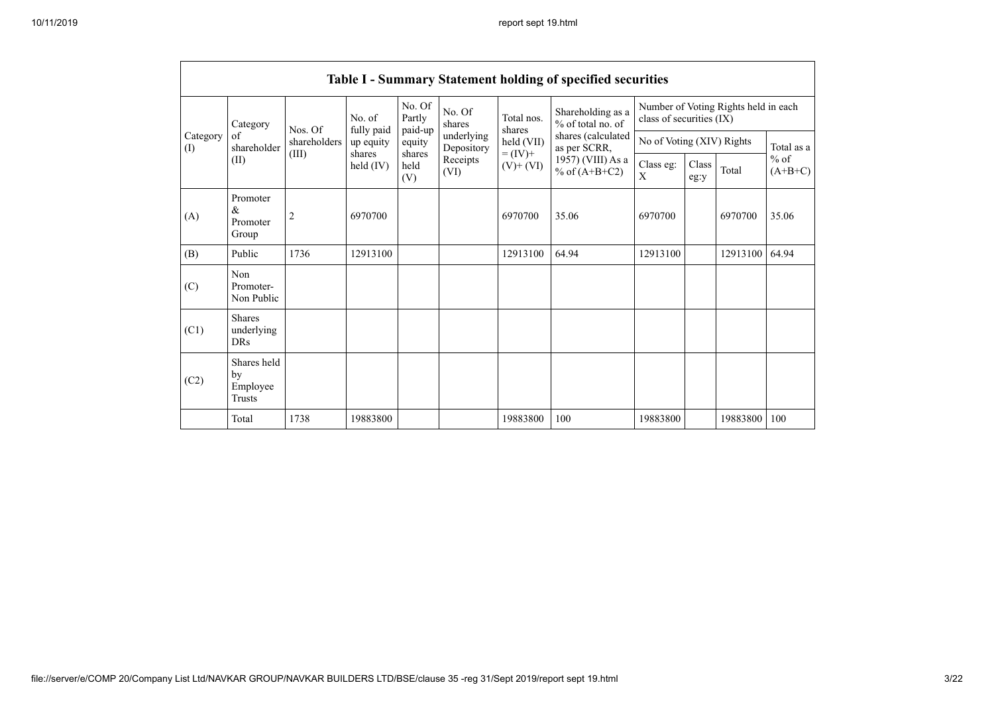|                 |                                                |                |                       |                             |                          |                              | Table I - Summary Statement holding of specified securities |                           |                                                                  |          |                     |  |
|-----------------|------------------------------------------------|----------------|-----------------------|-----------------------------|--------------------------|------------------------------|-------------------------------------------------------------|---------------------------|------------------------------------------------------------------|----------|---------------------|--|
|                 | Category                                       | Nos. Of        | No. of<br>fully paid  | No. Of<br>Partly<br>paid-up | No. Of<br>shares         | Total nos.<br>shares         | Shareholding as a<br>$%$ of total no. of                    |                           | Number of Voting Rights held in each<br>class of securities (IX) |          |                     |  |
| Category<br>(I) | of<br>shareholder                              | shareholders   | up equity             | equity                      | underlying<br>Depository | held (VII)                   | shares (calculated<br>as per SCRR,                          | No of Voting (XIV) Rights |                                                                  |          | Total as a          |  |
|                 | (II)                                           | (III)          | shares<br>held $(IV)$ | shares<br>held<br>(V)       | Receipts<br>(VI)         | $= (IV) +$<br>$(V)$ + $(VI)$ | 1957) (VIII) As a<br>% of $(A+B+C2)$                        | Class eg:<br>X            | Class<br>eg:y                                                    | Total    | $%$ of<br>$(A+B+C)$ |  |
| (A)             | Promoter<br>&<br>Promoter<br>Group             | $\overline{2}$ | 6970700               |                             |                          | 6970700                      | 35.06                                                       | 6970700                   |                                                                  | 6970700  | 35.06               |  |
| (B)             | Public                                         | 1736           | 12913100              |                             |                          | 12913100                     | 64.94                                                       | 12913100                  |                                                                  | 12913100 | 64.94               |  |
| (C)             | Non<br>Promoter-<br>Non Public                 |                |                       |                             |                          |                              |                                                             |                           |                                                                  |          |                     |  |
| (C1)            | <b>Shares</b><br>underlying<br><b>DRs</b>      |                |                       |                             |                          |                              |                                                             |                           |                                                                  |          |                     |  |
| (C2)            | Shares held<br>by<br>Employee<br><b>Trusts</b> |                |                       |                             |                          |                              |                                                             |                           |                                                                  |          |                     |  |
|                 | Total                                          | 1738           | 19883800              |                             |                          | 19883800                     | 100                                                         | 19883800                  |                                                                  | 19883800 | 100                 |  |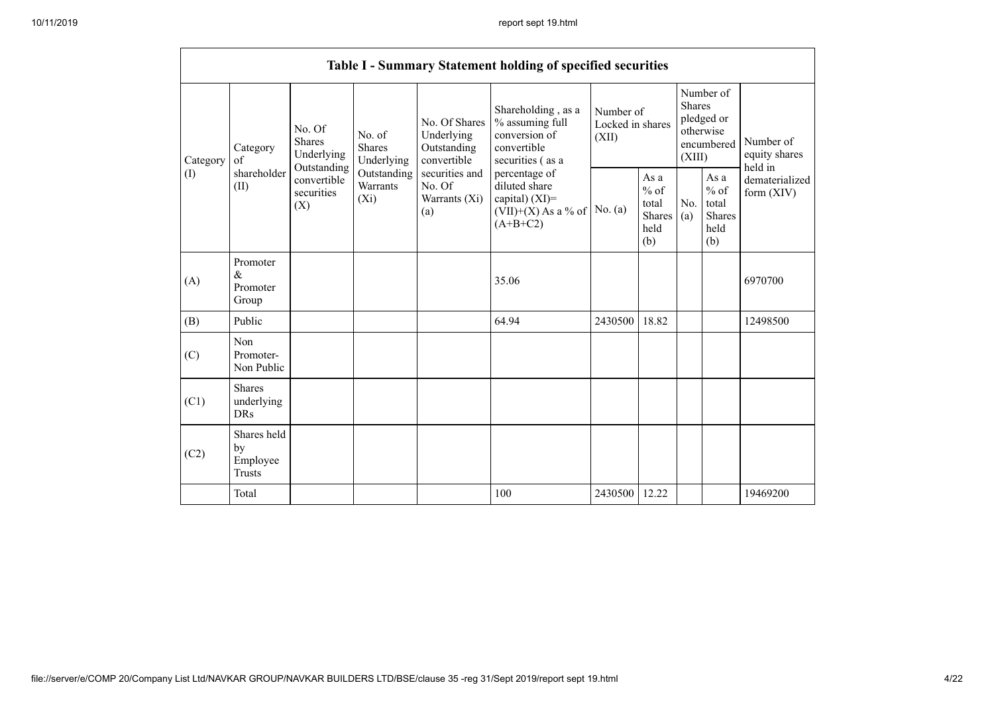|          |                                                |                                                 |                                       |                                                                                                                                                                                                                                                                                                       | Table I - Summary Statement holding of specified securities |                                                  |            |                                                                               |                                |                                       |
|----------|------------------------------------------------|-------------------------------------------------|---------------------------------------|-------------------------------------------------------------------------------------------------------------------------------------------------------------------------------------------------------------------------------------------------------------------------------------------------------|-------------------------------------------------------------|--------------------------------------------------|------------|-------------------------------------------------------------------------------|--------------------------------|---------------------------------------|
| Category | Category<br>of                                 | No. Of<br><b>Shares</b><br>Underlying           | No. of<br><b>Shares</b><br>Underlying | Shareholding, as a<br>No. Of Shares<br>% assuming full<br>conversion of<br>Underlying<br>Outstanding<br>convertible<br>convertible<br>securities (as a<br>securities and<br>percentage of<br>diluted share<br>No. Of<br>capital) (XI)=<br>Warrants (Xi)<br>$(VII)+(X)$ As a % of<br>(a)<br>$(A+B+C2)$ |                                                             | Number of<br>Locked in shares<br>(XII)           |            | Number of<br><b>Shares</b><br>pledged or<br>otherwise<br>encumbered<br>(XIII) |                                | Number of<br>equity shares<br>held in |
| (I)      | shareholder<br>(II)                            | Outstanding<br>convertible<br>securities<br>(X) | Outstanding<br>Warrants<br>$(X_i)$    |                                                                                                                                                                                                                                                                                                       | No. $(a)$                                                   | As a<br>$%$ of<br>total<br>Shares<br>held<br>(b) | No.<br>(a) | As a<br>$%$ of<br>total<br><b>Shares</b><br>held<br>(b)                       | dematerialized<br>form $(XIV)$ |                                       |
| (A)      | Promoter<br>$\&$<br>Promoter<br>Group          |                                                 |                                       |                                                                                                                                                                                                                                                                                                       | 35.06                                                       |                                                  |            |                                                                               |                                | 6970700                               |
| (B)      | Public                                         |                                                 |                                       |                                                                                                                                                                                                                                                                                                       | 64.94                                                       | 2430500                                          | 18.82      |                                                                               |                                | 12498500                              |
| (C)      | Non<br>Promoter-<br>Non Public                 |                                                 |                                       |                                                                                                                                                                                                                                                                                                       |                                                             |                                                  |            |                                                                               |                                |                                       |
| (C1)     | <b>Shares</b><br>underlying<br><b>DRs</b>      |                                                 |                                       |                                                                                                                                                                                                                                                                                                       |                                                             |                                                  |            |                                                                               |                                |                                       |
| (C2)     | Shares held<br>by<br>Employee<br><b>Trusts</b> |                                                 |                                       |                                                                                                                                                                                                                                                                                                       |                                                             |                                                  |            |                                                                               |                                |                                       |
|          | Total                                          |                                                 |                                       |                                                                                                                                                                                                                                                                                                       | 100                                                         | 2430500                                          | 12.22      |                                                                               |                                | 19469200                              |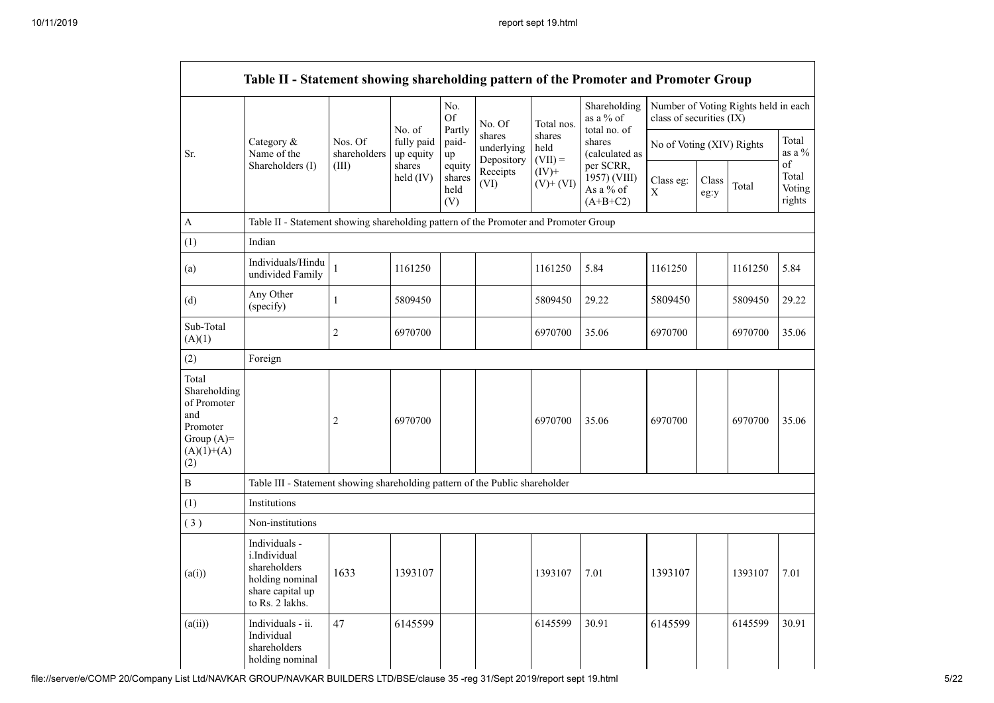|                                                                                                | Table II - Statement showing shareholding pattern of the Promoter and Promoter Group                               |                         |                                                         |                                                                                                                                           |               |            |                                           |                          |                    |                                      |       |
|------------------------------------------------------------------------------------------------|--------------------------------------------------------------------------------------------------------------------|-------------------------|---------------------------------------------------------|-------------------------------------------------------------------------------------------------------------------------------------------|---------------|------------|-------------------------------------------|--------------------------|--------------------|--------------------------------------|-------|
|                                                                                                |                                                                                                                    |                         | No. of                                                  | No.<br>Of<br>Partly                                                                                                                       | No. Of        | Total nos. | Shareholding<br>as a % of<br>total no. of | class of securities (IX) |                    | Number of Voting Rights held in each |       |
| Sr.                                                                                            | Category $\&$<br>Name of the                                                                                       | Nos. Of<br>shareholders | fully paid<br>up equity                                 | shares<br>shares<br>paid-<br>shares<br>No of Voting (XIV) Rights<br>held<br>underlying<br>(calculated as<br>up<br>Depository<br>$(VII) =$ |               |            |                                           |                          | Total<br>as a $\%$ |                                      |       |
|                                                                                                | Shareholders (I)<br>shares<br>(III)<br>equity<br>$(IV)+$<br>Receipts<br>held (IV)<br>shares<br>(VI)<br>held<br>(V) | $(V)$ + $(VI)$          | per SCRR,<br>1957) (VIII)<br>As a $\%$ of<br>$(A+B+C2)$ | Class eg:<br>$\mathbf X$                                                                                                                  | Class<br>eg:y | Total      | of<br>Total<br>Voting<br>rights           |                          |                    |                                      |       |
| A                                                                                              | Table II - Statement showing shareholding pattern of the Promoter and Promoter Group                               |                         |                                                         |                                                                                                                                           |               |            |                                           |                          |                    |                                      |       |
| (1)                                                                                            | Indian                                                                                                             |                         |                                                         |                                                                                                                                           |               |            |                                           |                          |                    |                                      |       |
| (a)                                                                                            | Individuals/Hindu<br>undivided Family                                                                              | 1                       | 1161250                                                 |                                                                                                                                           |               | 1161250    | 5.84                                      | 1161250                  |                    | 1161250                              | 5.84  |
| (d)                                                                                            | Any Other<br>(specify)                                                                                             | 1                       | 5809450                                                 |                                                                                                                                           |               | 5809450    | 29.22                                     | 5809450                  |                    | 5809450                              | 29.22 |
| Sub-Total<br>(A)(1)                                                                            |                                                                                                                    | $\overline{2}$          | 6970700                                                 |                                                                                                                                           |               | 6970700    | 35.06                                     | 6970700                  |                    | 6970700                              | 35.06 |
| (2)                                                                                            | Foreign                                                                                                            |                         |                                                         |                                                                                                                                           |               |            |                                           |                          |                    |                                      |       |
| Total<br>Shareholding<br>of Promoter<br>and<br>Promoter<br>Group $(A)=$<br>$(A)(1)+(A)$<br>(2) |                                                                                                                    | $\overline{c}$          | 6970700                                                 |                                                                                                                                           |               | 6970700    | 35.06                                     | 6970700                  |                    | 6970700                              | 35.06 |
| B                                                                                              | Table III - Statement showing shareholding pattern of the Public shareholder                                       |                         |                                                         |                                                                                                                                           |               |            |                                           |                          |                    |                                      |       |
| (1)                                                                                            | Institutions                                                                                                       |                         |                                                         |                                                                                                                                           |               |            |                                           |                          |                    |                                      |       |
| (3)                                                                                            | Non-institutions                                                                                                   |                         |                                                         |                                                                                                                                           |               |            |                                           |                          |                    |                                      |       |
| (a(i))                                                                                         | Individuals -<br><i>i.Individual</i><br>shareholders<br>holding nominal<br>share capital up<br>to Rs. 2 lakhs.     | 1633                    | 1393107                                                 |                                                                                                                                           |               | 1393107    | 7.01                                      | 1393107                  |                    | 1393107                              | 7.01  |
| (a(ii))                                                                                        | Individuals - ii.<br>Individual<br>shareholders<br>holding nominal                                                 | 47                      | 6145599                                                 |                                                                                                                                           |               | 6145599    | 30.91                                     | 6145599                  |                    | 6145599                              | 30.91 |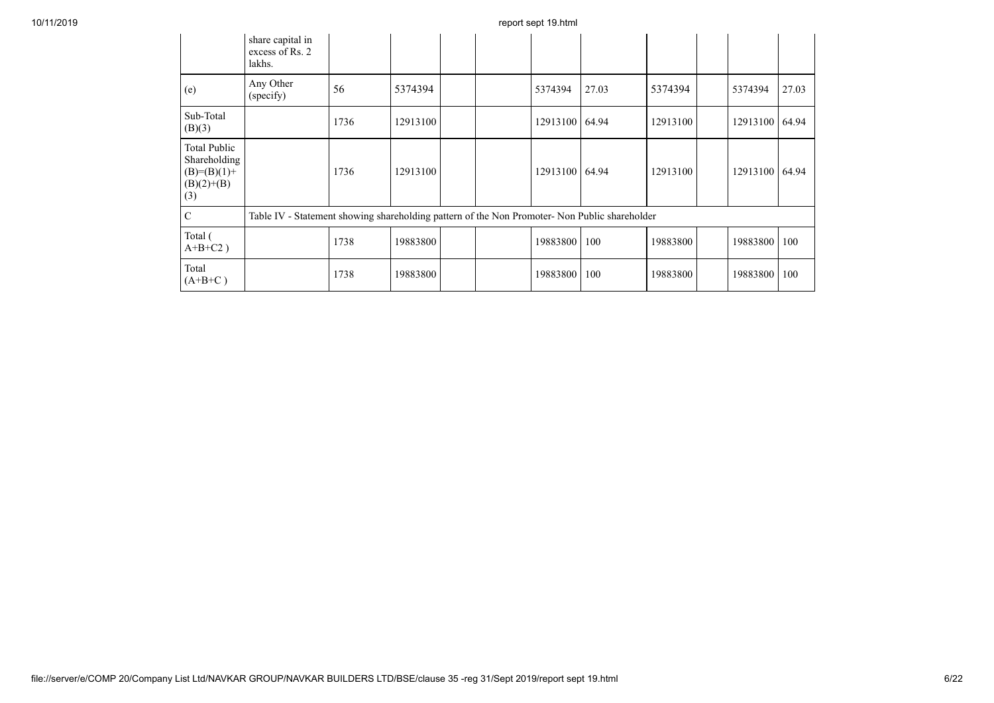|                                                                             | share capital in<br>excess of Rs. 2<br>lakhs.                                                 |      |          |  |                |       |          |                |       |
|-----------------------------------------------------------------------------|-----------------------------------------------------------------------------------------------|------|----------|--|----------------|-------|----------|----------------|-------|
| (e)                                                                         | Any Other<br>(specify)                                                                        | 56   | 5374394  |  | 5374394        | 27.03 | 5374394  | 5374394        | 27.03 |
| Sub-Total<br>(B)(3)                                                         |                                                                                               | 1736 | 12913100 |  | 12913100 64.94 |       | 12913100 | 12913100 64.94 |       |
| <b>Total Public</b><br>Shareholding<br>$(B)=(B)(1)+$<br>$(B)(2)+(B)$<br>(3) |                                                                                               | 1736 | 12913100 |  | 12913100 64.94 |       | 12913100 | 12913100 64.94 |       |
| $\mathbf C$                                                                 | Table IV - Statement showing shareholding pattern of the Non Promoter- Non Public shareholder |      |          |  |                |       |          |                |       |
| Total (<br>$A+B+C2$ )                                                       |                                                                                               | 1738 | 19883800 |  | 19883800       | 100   | 19883800 | 19883800       | 100   |
| Total<br>$(A+B+C)$                                                          |                                                                                               | 1738 | 19883800 |  | 19883800       | 100   | 19883800 | 19883800       | 100   |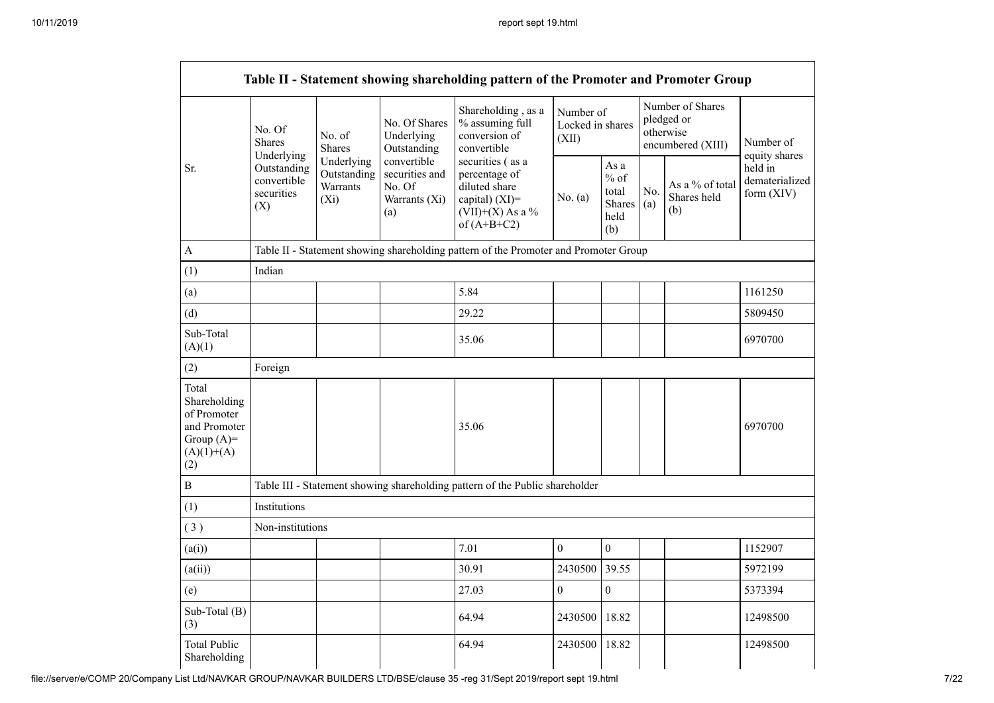|                                                                                             |                         |                                                                                                                                                                                                                                                                                                                                                                                                                                                                   |  | Table II - Statement showing shareholding pattern of the Promoter and Promoter Group |              |                                                         |                                                                  |                                       |                                         |
|---------------------------------------------------------------------------------------------|-------------------------|-------------------------------------------------------------------------------------------------------------------------------------------------------------------------------------------------------------------------------------------------------------------------------------------------------------------------------------------------------------------------------------------------------------------------------------------------------------------|--|--------------------------------------------------------------------------------------|--------------|---------------------------------------------------------|------------------------------------------------------------------|---------------------------------------|-----------------------------------------|
|                                                                                             | No. Of<br><b>Shares</b> | Shareholding, as a<br>No. Of Shares<br>% assuming full<br>No. of<br>Underlying<br>conversion of<br>(XII)<br>convertible<br><b>Shares</b><br>Outstanding<br>Underlying<br>convertible<br>Underlying<br>securities (as a<br>Outstanding<br>securities and<br>Outstanding<br>percentage of<br>convertible<br>Warrants<br>diluted share<br>No. Of<br>securities<br>$(X_i)$<br>Warrants (Xi)<br>capital) $(XI)$ =<br>(X)<br>$(VII)+(X)$ As a %<br>(a)<br>of $(A+B+C2)$ |  | Number of<br>Locked in shares                                                        |              |                                                         | Number of Shares<br>pledged or<br>otherwise<br>encumbered (XIII) | Number of<br>equity shares            |                                         |
| Sr.                                                                                         |                         |                                                                                                                                                                                                                                                                                                                                                                                                                                                                   |  |                                                                                      | No. (a)      | As a<br>$%$ of<br>total<br><b>Shares</b><br>held<br>(b) | No.<br>(a)                                                       | As a % of total<br>Shares held<br>(b) | held in<br>dematerialized<br>form (XIV) |
| A                                                                                           |                         |                                                                                                                                                                                                                                                                                                                                                                                                                                                                   |  | Table II - Statement showing shareholding pattern of the Promoter and Promoter Group |              |                                                         |                                                                  |                                       |                                         |
| (1)                                                                                         | Indian                  |                                                                                                                                                                                                                                                                                                                                                                                                                                                                   |  |                                                                                      |              |                                                         |                                                                  |                                       |                                         |
| (a)                                                                                         |                         |                                                                                                                                                                                                                                                                                                                                                                                                                                                                   |  | 5.84                                                                                 |              |                                                         |                                                                  |                                       | 1161250                                 |
| (d)                                                                                         |                         |                                                                                                                                                                                                                                                                                                                                                                                                                                                                   |  | 29.22                                                                                |              |                                                         |                                                                  |                                       | 5809450                                 |
| Sub-Total<br>(A)(1)                                                                         |                         |                                                                                                                                                                                                                                                                                                                                                                                                                                                                   |  | 35.06                                                                                |              |                                                         |                                                                  |                                       | 6970700                                 |
| (2)                                                                                         | Foreign                 |                                                                                                                                                                                                                                                                                                                                                                                                                                                                   |  |                                                                                      |              |                                                         |                                                                  |                                       |                                         |
| Total<br>Shareholding<br>of Promoter<br>and Promoter<br>Group $(A)=$<br>$(A)(1)+(A)$<br>(2) |                         |                                                                                                                                                                                                                                                                                                                                                                                                                                                                   |  | 35.06                                                                                |              |                                                         |                                                                  |                                       | 6970700                                 |
| $\, {\bf B}$                                                                                |                         |                                                                                                                                                                                                                                                                                                                                                                                                                                                                   |  | Table III - Statement showing shareholding pattern of the Public shareholder         |              |                                                         |                                                                  |                                       |                                         |
| (1)                                                                                         | Institutions            |                                                                                                                                                                                                                                                                                                                                                                                                                                                                   |  |                                                                                      |              |                                                         |                                                                  |                                       |                                         |
| (3)                                                                                         | Non-institutions        |                                                                                                                                                                                                                                                                                                                                                                                                                                                                   |  |                                                                                      |              |                                                         |                                                                  |                                       |                                         |
| (a(i))                                                                                      |                         |                                                                                                                                                                                                                                                                                                                                                                                                                                                                   |  | 7.01                                                                                 | $\mathbf{0}$ | $\boldsymbol{0}$                                        |                                                                  |                                       | 1152907                                 |
| (a(ii))                                                                                     |                         |                                                                                                                                                                                                                                                                                                                                                                                                                                                                   |  | 30.91                                                                                | 2430500      | 39.55                                                   |                                                                  |                                       | 5972199                                 |
| (e)                                                                                         |                         |                                                                                                                                                                                                                                                                                                                                                                                                                                                                   |  | 27.03                                                                                | $\mathbf{0}$ | $\boldsymbol{0}$                                        |                                                                  |                                       | 5373394                                 |
| Sub-Total (B)<br>(3)                                                                        |                         |                                                                                                                                                                                                                                                                                                                                                                                                                                                                   |  | 64.94                                                                                | 2430500      | 18.82                                                   |                                                                  |                                       | 12498500                                |
| <b>Total Public</b><br>Shareholding                                                         |                         |                                                                                                                                                                                                                                                                                                                                                                                                                                                                   |  | 64.94                                                                                | 2430500      | 18.82                                                   |                                                                  |                                       | 12498500                                |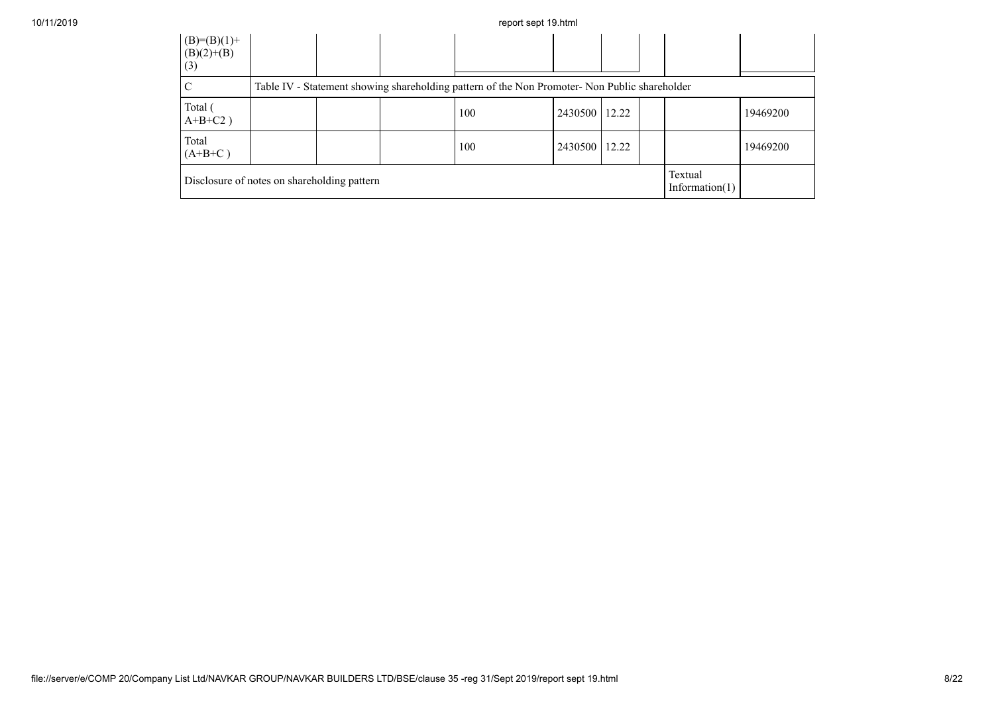| 10/11/2019 |                                             |  | report sept 19.html                                                                           |               |  |                              |          |
|------------|---------------------------------------------|--|-----------------------------------------------------------------------------------------------|---------------|--|------------------------------|----------|
|            | $(B)=(B)(1)+$<br>(B)(2)+(B)<br>(3)          |  |                                                                                               |               |  |                              |          |
|            | ◡                                           |  | Table IV - Statement showing shareholding pattern of the Non Promoter- Non Public shareholder |               |  |                              |          |
|            | Total (<br>$A+B+C2$ )                       |  | 100                                                                                           | 2430500 12.22 |  |                              | 19469200 |
|            | Total<br>$(A+B+C)$                          |  | 100                                                                                           | 2430500 12.22 |  |                              | 19469200 |
|            | Disclosure of notes on shareholding pattern |  |                                                                                               |               |  | Textual<br>Information $(1)$ |          |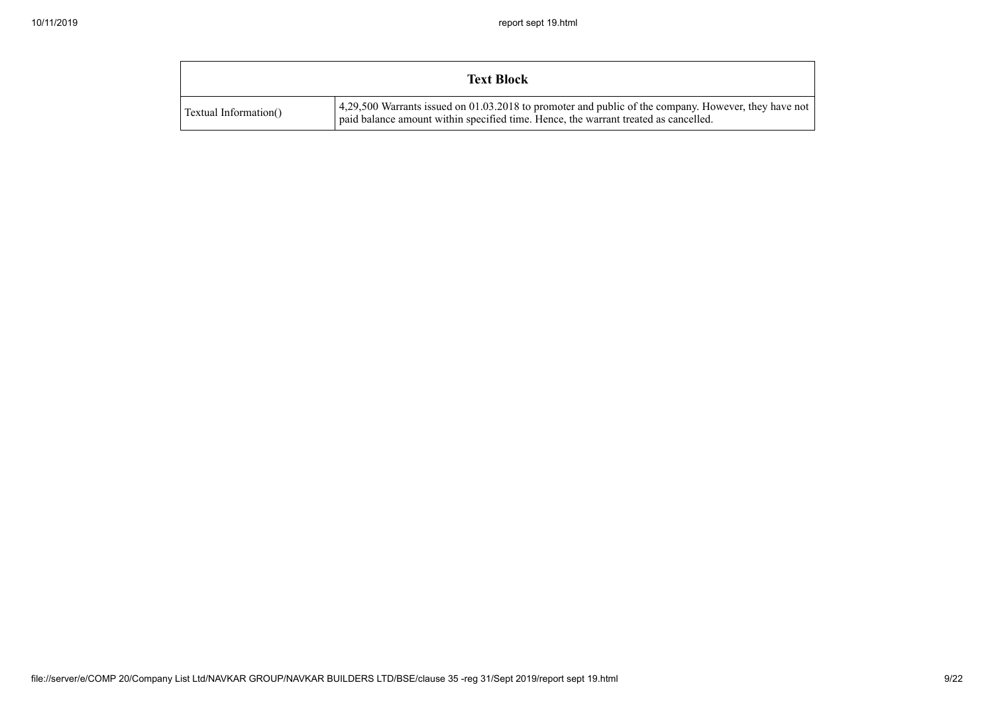|                       | <b>Text Block</b>                                                                                                                                                                           |
|-----------------------|---------------------------------------------------------------------------------------------------------------------------------------------------------------------------------------------|
| Textual Information() | 4,29,500 Warrants issued on 01.03.2018 to promoter and public of the company. However, they have not<br>paid balance amount within specified time. Hence, the warrant treated as cancelled. |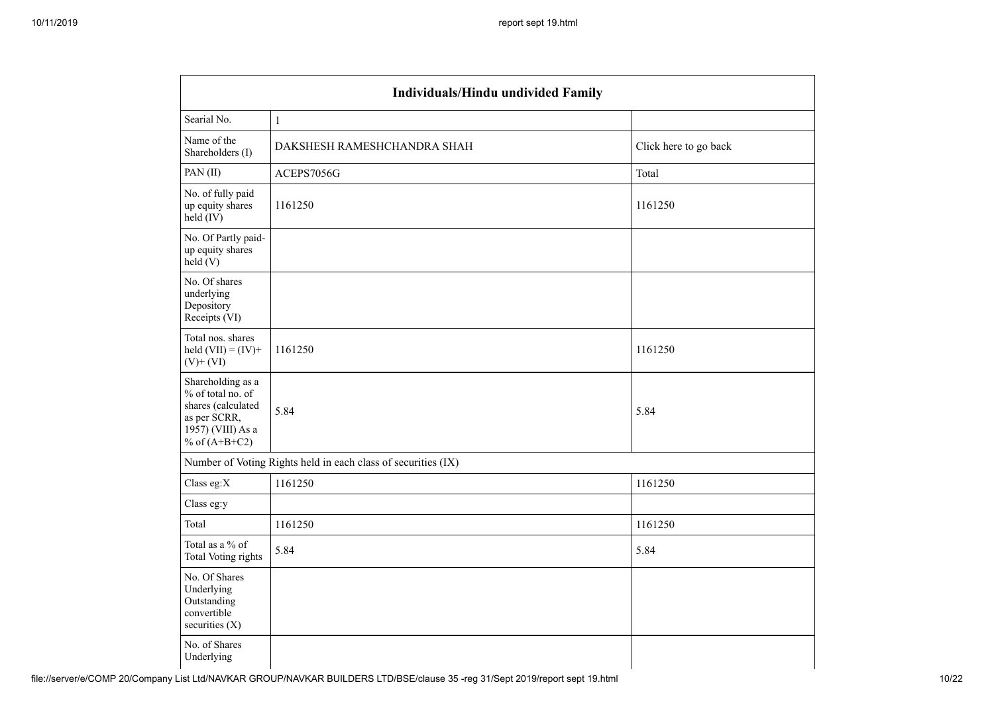|                                                                                                                      | Individuals/Hindu undivided Family                            |                       |  |  |  |  |  |  |
|----------------------------------------------------------------------------------------------------------------------|---------------------------------------------------------------|-----------------------|--|--|--|--|--|--|
| Searial No.                                                                                                          | $\mathbf{1}$                                                  |                       |  |  |  |  |  |  |
| Name of the<br>Shareholders (I)                                                                                      | DAKSHESH RAMESHCHANDRA SHAH                                   | Click here to go back |  |  |  |  |  |  |
| PAN(II)                                                                                                              | ACEPS7056G                                                    | Total                 |  |  |  |  |  |  |
| No. of fully paid<br>up equity shares<br>held (IV)                                                                   | 1161250                                                       | 1161250               |  |  |  |  |  |  |
| No. Of Partly paid-<br>up equity shares<br>held(V)                                                                   |                                                               |                       |  |  |  |  |  |  |
| No. Of shares<br>underlying<br>Depository<br>Receipts (VI)                                                           |                                                               |                       |  |  |  |  |  |  |
| Total nos. shares<br>held $(VII) = (IV) +$<br>$(V)$ + $(VI)$                                                         | 1161250                                                       | 1161250               |  |  |  |  |  |  |
| Shareholding as a<br>% of total no. of<br>shares (calculated<br>as per SCRR,<br>1957) (VIII) As a<br>% of $(A+B+C2)$ | 5.84                                                          | 5.84                  |  |  |  |  |  |  |
|                                                                                                                      | Number of Voting Rights held in each class of securities (IX) |                       |  |  |  |  |  |  |
| Class eg:X                                                                                                           | 1161250                                                       | 1161250               |  |  |  |  |  |  |
| Class eg:y                                                                                                           |                                                               |                       |  |  |  |  |  |  |
| Total                                                                                                                | 1161250                                                       | 1161250               |  |  |  |  |  |  |
| Total as a % of<br><b>Total Voting rights</b>                                                                        | 5.84                                                          | 5.84                  |  |  |  |  |  |  |
| No. Of Shares<br>Underlying<br>Outstanding<br>convertible<br>securities (X)                                          |                                                               |                       |  |  |  |  |  |  |
| No. of Shares<br>Underlying                                                                                          |                                                               |                       |  |  |  |  |  |  |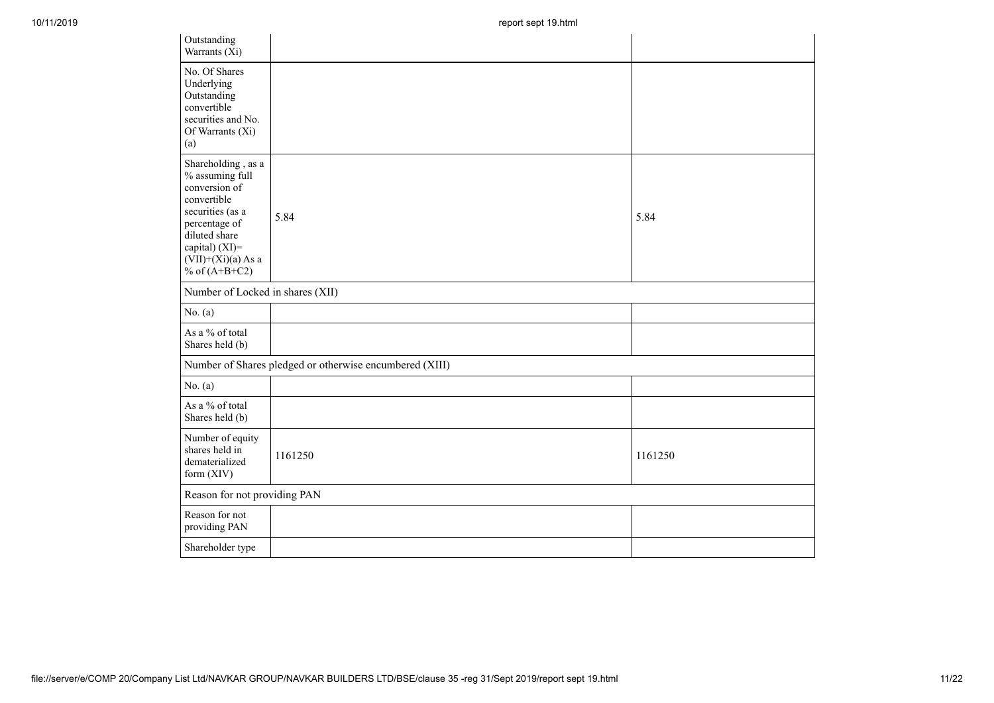| Outstanding<br>Warrants (Xi)                                                                                                                                                             |                                                         |         |
|------------------------------------------------------------------------------------------------------------------------------------------------------------------------------------------|---------------------------------------------------------|---------|
| No. Of Shares<br>Underlying<br>Outstanding<br>convertible<br>securities and No.<br>Of Warrants (Xi)<br>(a)                                                                               |                                                         |         |
| Shareholding, as a<br>% assuming full<br>conversion of<br>convertible<br>securities (as a<br>percentage of<br>diluted share<br>capital) (XI)=<br>$(VII)+(Xi)(a)$ As a<br>% of $(A+B+C2)$ | 5.84                                                    | 5.84    |
| Number of Locked in shares (XII)                                                                                                                                                         |                                                         |         |
| No. (a)                                                                                                                                                                                  |                                                         |         |
| As a % of total<br>Shares held (b)                                                                                                                                                       |                                                         |         |
|                                                                                                                                                                                          | Number of Shares pledged or otherwise encumbered (XIII) |         |
| No. (a)                                                                                                                                                                                  |                                                         |         |
| As a % of total<br>Shares held (b)                                                                                                                                                       |                                                         |         |
| Number of equity<br>shares held in<br>dematerialized<br>form $(XIV)$                                                                                                                     | 1161250                                                 | 1161250 |
| Reason for not providing PAN                                                                                                                                                             |                                                         |         |
| Reason for not<br>providing PAN                                                                                                                                                          |                                                         |         |
| Shareholder type                                                                                                                                                                         |                                                         |         |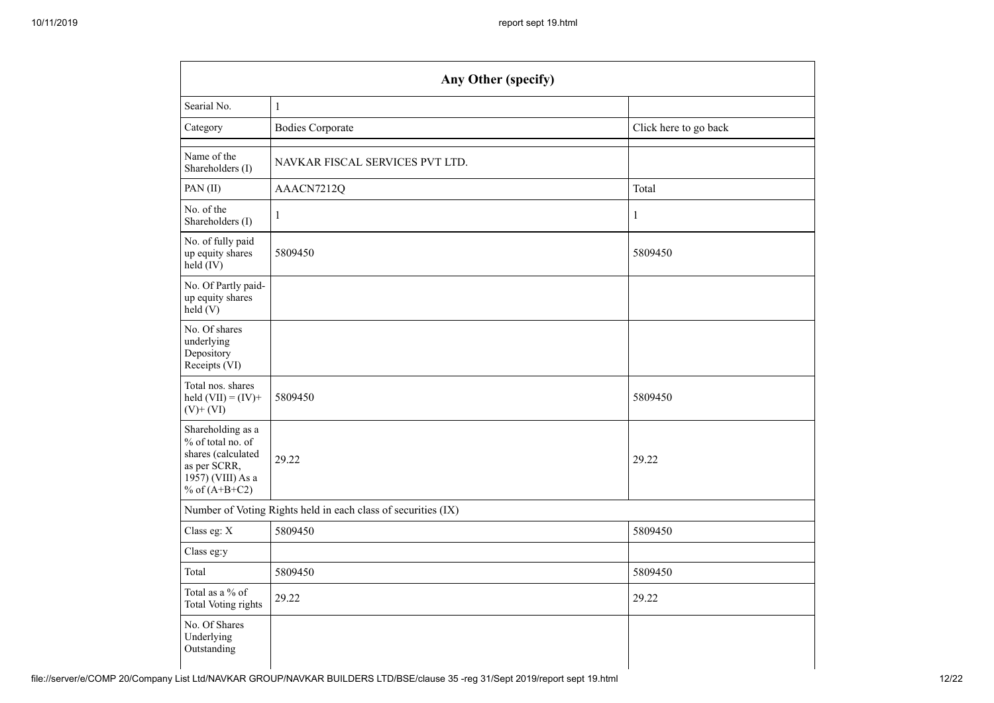|                                                                                                                      | Any Other (specify)                                           |                       |
|----------------------------------------------------------------------------------------------------------------------|---------------------------------------------------------------|-----------------------|
| Searial No.                                                                                                          | $\,1$                                                         |                       |
| Category                                                                                                             | <b>Bodies Corporate</b>                                       | Click here to go back |
| Name of the<br>Shareholders (I)                                                                                      | NAVKAR FISCAL SERVICES PVT LTD.                               |                       |
| PAN(II)                                                                                                              | AAACN7212Q                                                    | Total                 |
| No. of the<br>Shareholders (I)                                                                                       | 1                                                             | $\mathbf{1}$          |
| No. of fully paid<br>up equity shares<br>held (IV)                                                                   | 5809450                                                       | 5809450               |
| No. Of Partly paid-<br>up equity shares<br>held(V)                                                                   |                                                               |                       |
| No. Of shares<br>underlying<br>Depository<br>Receipts (VI)                                                           |                                                               |                       |
| Total nos. shares<br>held $(VII) = (IV) +$<br>$(V)$ + $(VI)$                                                         | 5809450                                                       | 5809450               |
| Shareholding as a<br>% of total no. of<br>shares (calculated<br>as per SCRR,<br>1957) (VIII) As a<br>% of $(A+B+C2)$ | 29.22                                                         | 29.22                 |
|                                                                                                                      | Number of Voting Rights held in each class of securities (IX) |                       |
| Class eg: X                                                                                                          | 5809450                                                       | 5809450               |
| Class eg:y                                                                                                           |                                                               |                       |
| Total                                                                                                                | 5809450                                                       | 5809450               |
| Total as a % of<br><b>Total Voting rights</b>                                                                        | 29.22                                                         | 29.22                 |
| No. Of Shares<br>Underlying<br>Outstanding                                                                           |                                                               |                       |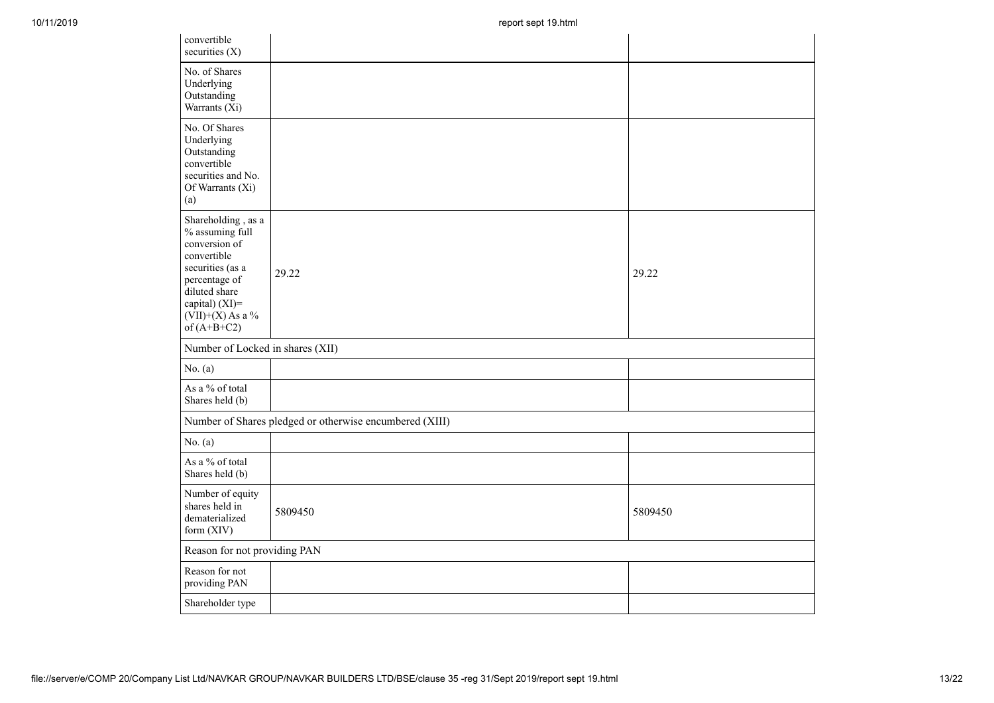| 10/11/2019 |                                                                                                                                                                                      | report sept 19.html                                     |         |
|------------|--------------------------------------------------------------------------------------------------------------------------------------------------------------------------------------|---------------------------------------------------------|---------|
|            | convertible<br>securities $(X)$                                                                                                                                                      |                                                         |         |
|            | No. of Shares<br>Underlying<br>Outstanding<br>Warrants (Xi)                                                                                                                          |                                                         |         |
|            | No. Of Shares<br>Underlying<br>Outstanding<br>convertible<br>securities and No.<br>Of Warrants (Xi)<br>(a)                                                                           |                                                         |         |
|            | Shareholding, as a<br>% assuming full<br>conversion of<br>convertible<br>securities (as a<br>percentage of<br>diluted share<br>capital) (XI)=<br>$(VII)+(X)$ As a %<br>of $(A+B+C2)$ | 29.22                                                   | 29.22   |
|            | Number of Locked in shares (XII)                                                                                                                                                     |                                                         |         |
|            | No. $(a)$                                                                                                                                                                            |                                                         |         |
|            | As a $\%$ of total<br>Shares held (b)                                                                                                                                                |                                                         |         |
|            |                                                                                                                                                                                      | Number of Shares pledged or otherwise encumbered (XIII) |         |
|            | No. $(a)$                                                                                                                                                                            |                                                         |         |
|            | As a $\%$ of total<br>Shares held (b)                                                                                                                                                |                                                         |         |
|            | Number of equity<br>shares held in<br>dematerialized<br>form (XIV)                                                                                                                   | 5809450                                                 | 5809450 |
|            | Reason for not providing PAN                                                                                                                                                         |                                                         |         |
|            | Reason for not<br>providing PAN                                                                                                                                                      |                                                         |         |
|            | Shareholder type                                                                                                                                                                     |                                                         |         |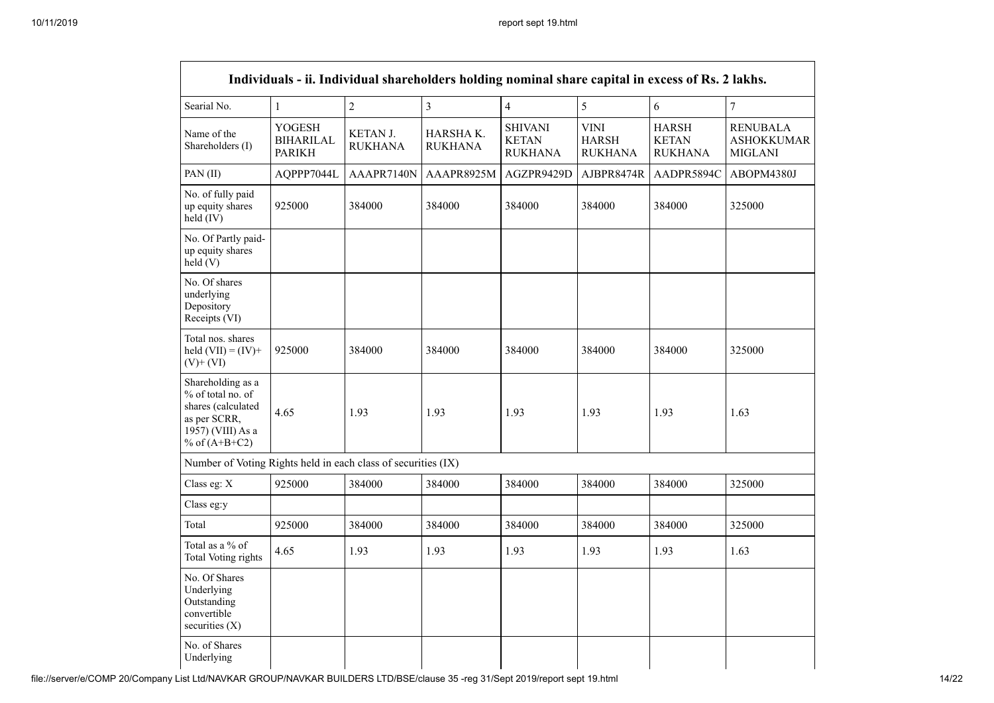|                                                                                                                      |                                                    |                            | Individuals - ii. Individual shareholders holding nominal share capital in excess of Rs. 2 lakhs. |                                                  |                                               |                                                |                                                        |
|----------------------------------------------------------------------------------------------------------------------|----------------------------------------------------|----------------------------|---------------------------------------------------------------------------------------------------|--------------------------------------------------|-----------------------------------------------|------------------------------------------------|--------------------------------------------------------|
| Searial No.                                                                                                          | $\mathbf{1}$                                       | $\sqrt{2}$                 | $\mathfrak{Z}$                                                                                    | $\overline{4}$                                   | 5                                             | 6                                              | $\overline{7}$                                         |
| Name of the<br>Shareholders (I)                                                                                      | <b>YOGESH</b><br><b>BIHARILAL</b><br><b>PARIKH</b> | KETAN J.<br><b>RUKHANA</b> | HARSHAK.<br><b>RUKHANA</b>                                                                        | <b>SHIVANI</b><br><b>KETAN</b><br><b>RUKHANA</b> | <b>VINI</b><br><b>HARSH</b><br><b>RUKHANA</b> | <b>HARSH</b><br><b>KETAN</b><br><b>RUKHANA</b> | <b>RENUBALA</b><br><b>ASHOKKUMAR</b><br><b>MIGLANI</b> |
| PAN (II)                                                                                                             | AQPPP7044L                                         | AAAPR7140N                 | AAAPR8925M                                                                                        | AGZPR9429D                                       | AJBPR8474R                                    | AADPR5894C                                     | ABOPM4380J                                             |
| No. of fully paid<br>up equity shares<br>held (IV)                                                                   | 925000                                             | 384000                     | 384000                                                                                            | 384000                                           | 384000                                        | 384000                                         | 325000                                                 |
| No. Of Partly paid-<br>up equity shares<br>held(V)                                                                   |                                                    |                            |                                                                                                   |                                                  |                                               |                                                |                                                        |
| No. Of shares<br>underlying<br>Depository<br>Receipts (VI)                                                           |                                                    |                            |                                                                                                   |                                                  |                                               |                                                |                                                        |
| Total nos. shares<br>held $(VII) = (IV) +$<br>$(V)$ + $(VI)$                                                         | 925000                                             | 384000                     | 384000                                                                                            | 384000                                           | 384000                                        | 384000                                         | 325000                                                 |
| Shareholding as a<br>% of total no. of<br>shares (calculated<br>as per SCRR,<br>1957) (VIII) As a<br>% of $(A+B+C2)$ | 4.65                                               | 1.93                       | 1.93                                                                                              | 1.93                                             | 1.93                                          | 1.93                                           | 1.63                                                   |
| Number of Voting Rights held in each class of securities (IX)                                                        |                                                    |                            |                                                                                                   |                                                  |                                               |                                                |                                                        |
| Class eg: X                                                                                                          | 925000                                             | 384000                     | 384000                                                                                            | 384000                                           | 384000                                        | 384000                                         | 325000                                                 |
| Class eg:y                                                                                                           |                                                    |                            |                                                                                                   |                                                  |                                               |                                                |                                                        |
| Total                                                                                                                | 925000                                             | 384000                     | 384000                                                                                            | 384000                                           | 384000                                        | 384000                                         | 325000                                                 |
| Total as a % of<br>Total Voting rights                                                                               | 4.65                                               | 1.93                       | 1.93                                                                                              | 1.93                                             | 1.93                                          | 1.93                                           | 1.63                                                   |
| No. Of Shares<br>Underlying<br>Outstanding<br>convertible<br>securities (X)                                          |                                                    |                            |                                                                                                   |                                                  |                                               |                                                |                                                        |
| No. of Shares<br>Underlying                                                                                          |                                                    |                            |                                                                                                   |                                                  |                                               |                                                |                                                        |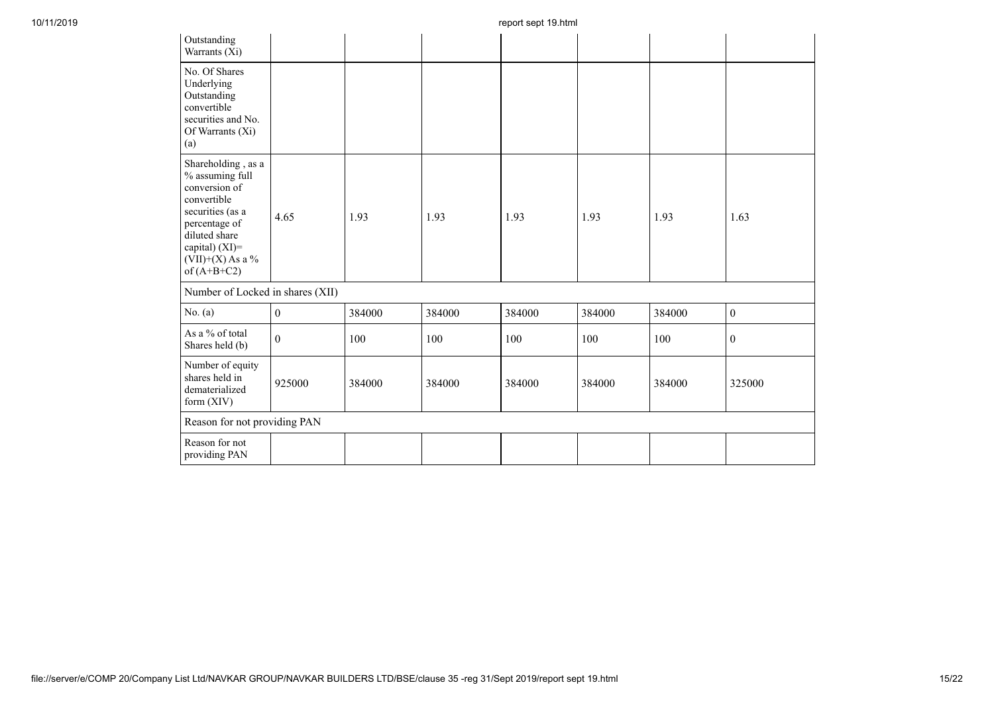| Outstanding<br>Warrants (Xi)                                                                                                                                                       |                  |        |        |        |        |        |                  |
|------------------------------------------------------------------------------------------------------------------------------------------------------------------------------------|------------------|--------|--------|--------|--------|--------|------------------|
| No. Of Shares<br>Underlying<br>Outstanding<br>convertible<br>securities and No.<br>Of Warrants (Xi)<br>(a)                                                                         |                  |        |        |        |        |        |                  |
| Shareholding, as a<br>% assuming full<br>conversion of<br>convertible<br>securities (as a<br>percentage of<br>diluted share<br>capital) (XI)=<br>(VII)+(X) As a %<br>of $(A+B+C2)$ | 4.65             | 1.93   | 1.93   | 1.93   | 1.93   | 1.93   | 1.63             |
| Number of Locked in shares (XII)                                                                                                                                                   |                  |        |        |        |        |        |                  |
| No. $(a)$                                                                                                                                                                          | $\boldsymbol{0}$ | 384000 | 384000 | 384000 | 384000 | 384000 | $\boldsymbol{0}$ |
| As a % of total<br>Shares held (b)                                                                                                                                                 | $\mathbf{0}$     | 100    | 100    | 100    | 100    | 100    | $\mathbf{0}$     |
| Number of equity<br>shares held in<br>dematerialized<br>form (XIV)                                                                                                                 | 925000           | 384000 | 384000 | 384000 | 384000 | 384000 | 325000           |
| Reason for not providing PAN                                                                                                                                                       |                  |        |        |        |        |        |                  |
| Reason for not<br>providing PAN                                                                                                                                                    |                  |        |        |        |        |        |                  |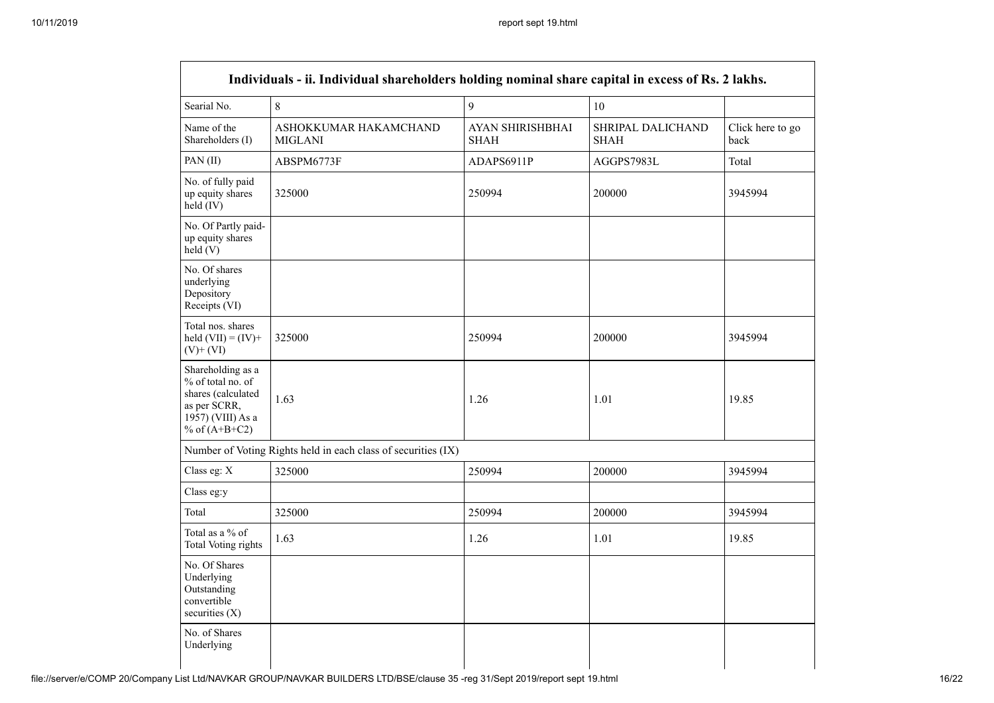| Searial No.                                                                                                          | 8                                                             | 9                                      | 10                                      |                          |
|----------------------------------------------------------------------------------------------------------------------|---------------------------------------------------------------|----------------------------------------|-----------------------------------------|--------------------------|
| Name of the<br>Shareholders (I)                                                                                      | ASHOKKUMAR HAKAMCHAND<br><b>MIGLANI</b>                       | <b>AYAN SHIRISHBHAI</b><br><b>SHAH</b> | <b>SHRIPAL DALICHAND</b><br><b>SHAH</b> | Click here to go<br>back |
| PAN (II)                                                                                                             | ABSPM6773F                                                    | ADAPS6911P                             | AGGPS7983L                              | Total                    |
| No. of fully paid<br>up equity shares<br>held (IV)                                                                   | 325000                                                        | 250994                                 | 200000                                  | 3945994                  |
| No. Of Partly paid-<br>up equity shares<br>held (V)                                                                  |                                                               |                                        |                                         |                          |
| No. Of shares<br>underlying<br>Depository<br>Receipts (VI)                                                           |                                                               |                                        |                                         |                          |
| Total nos. shares<br>held $(VII) = (IV) +$<br>$(V)$ + $(VI)$                                                         | 325000                                                        | 250994                                 | 200000                                  | 3945994                  |
| Shareholding as a<br>% of total no. of<br>shares (calculated<br>as per SCRR,<br>1957) (VIII) As a<br>% of $(A+B+C2)$ | 1.63                                                          | 1.26                                   | 1.01                                    | 19.85                    |
|                                                                                                                      | Number of Voting Rights held in each class of securities (IX) |                                        |                                         |                          |
| Class eg: X                                                                                                          | 325000                                                        | 250994                                 | 200000                                  | 3945994                  |
| Class eg:y                                                                                                           |                                                               |                                        |                                         |                          |
| Total                                                                                                                | 325000                                                        | 250994                                 | 200000                                  | 3945994                  |
| Total as a % of<br><b>Total Voting rights</b>                                                                        | 1.63                                                          | 1.26                                   | 1.01                                    | 19.85                    |
| No. Of Shares<br>Underlying<br>Outstanding<br>convertible<br>securities $(X)$                                        |                                                               |                                        |                                         |                          |
| No. of Shares<br>Underlying                                                                                          |                                                               |                                        |                                         |                          |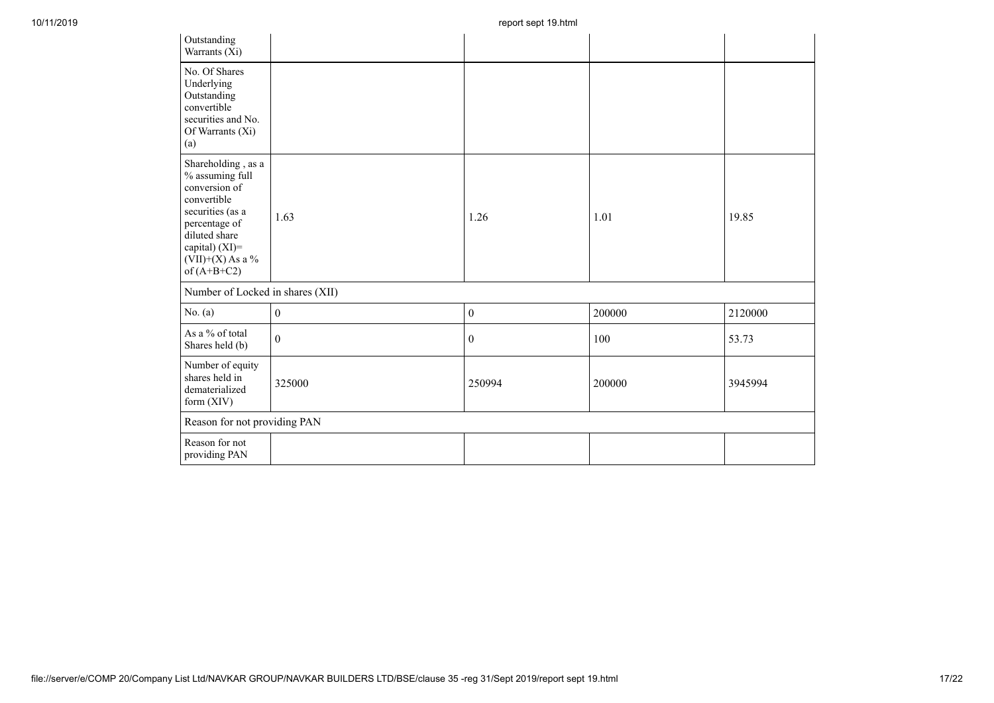| Outstanding<br>Warrants (Xi)                                                                                                                                                         |                  |                  |        |         |
|--------------------------------------------------------------------------------------------------------------------------------------------------------------------------------------|------------------|------------------|--------|---------|
| No. Of Shares<br>Underlying<br>Outstanding<br>convertible<br>securities and No.<br>Of Warrants (Xi)<br>(a)                                                                           |                  |                  |        |         |
| Shareholding, as a<br>% assuming full<br>conversion of<br>convertible<br>securities (as a<br>percentage of<br>diluted share<br>capital) (XI)=<br>$(VII)+(X)$ As a %<br>of $(A+B+C2)$ | 1.63             | 1.26             | 1.01   | 19.85   |
| Number of Locked in shares (XII)                                                                                                                                                     |                  |                  |        |         |
| No. $(a)$                                                                                                                                                                            | $\boldsymbol{0}$ | $\boldsymbol{0}$ | 200000 | 2120000 |
| As a % of total<br>Shares held (b)                                                                                                                                                   | $\boldsymbol{0}$ | $\boldsymbol{0}$ | 100    | 53.73   |
| Number of equity<br>shares held in<br>dematerialized<br>form (XIV)                                                                                                                   | 325000           | 250994           | 200000 | 3945994 |
| Reason for not providing PAN                                                                                                                                                         |                  |                  |        |         |
| Reason for not<br>providing PAN                                                                                                                                                      |                  |                  |        |         |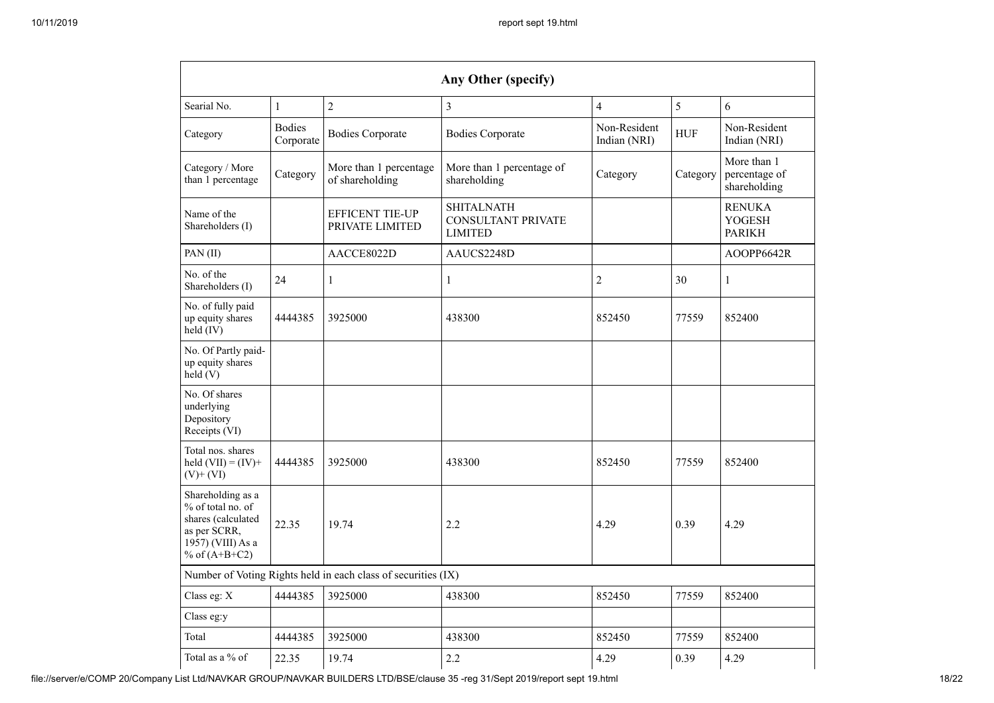| $\overline{2}$<br>$\overline{3}$<br>$\overline{4}$<br>5<br>6<br>Searial No.<br>$\mathbf{1}$                          |                            |                                                               |                                                                  |                              |            |                                                 |  |  |  |  |  |
|----------------------------------------------------------------------------------------------------------------------|----------------------------|---------------------------------------------------------------|------------------------------------------------------------------|------------------------------|------------|-------------------------------------------------|--|--|--|--|--|
| Category                                                                                                             | <b>Bodies</b><br>Corporate | <b>Bodies Corporate</b>                                       | <b>Bodies Corporate</b>                                          | Non-Resident<br>Indian (NRI) | <b>HUF</b> | Non-Resident<br>Indian (NRI)                    |  |  |  |  |  |
| Category / More<br>Category<br>than 1 percentage                                                                     |                            | More than 1 percentage<br>of shareholding                     | More than 1 percentage of<br>shareholding                        | Category                     | Category   | More than 1<br>percentage of<br>shareholding    |  |  |  |  |  |
| Name of the<br>Shareholders (I)                                                                                      |                            | <b>EFFICENT TIE-UP</b><br>PRIVATE LIMITED                     | <b>SHITALNATH</b><br><b>CONSULTANT PRIVATE</b><br><b>LIMITED</b> |                              |            | <b>RENUKA</b><br><b>YOGESH</b><br><b>PARIKH</b> |  |  |  |  |  |
| PAN(II)                                                                                                              |                            | AACCE8022D                                                    | AAUCS2248D                                                       |                              |            | AOPP6642R                                       |  |  |  |  |  |
| No. of the<br>Shareholders (I)                                                                                       | 24                         | $\mathbf{1}$                                                  | $\mathbf{1}$                                                     | $\overline{2}$               | 30         | $\mathbf{1}$                                    |  |  |  |  |  |
| No. of fully paid<br>up equity shares<br>held (IV)                                                                   | 4444385                    | 3925000                                                       | 438300                                                           | 852450                       | 77559      | 852400                                          |  |  |  |  |  |
| No. Of Partly paid-<br>up equity shares<br>held $(V)$                                                                |                            |                                                               |                                                                  |                              |            |                                                 |  |  |  |  |  |
| No. Of shares<br>underlying<br>Depository<br>Receipts (VI)                                                           |                            |                                                               |                                                                  |                              |            |                                                 |  |  |  |  |  |
| Total nos. shares<br>held $(VII) = (IV) +$<br>$(V)$ + $(VI)$                                                         | 4444385                    | 3925000                                                       | 438300                                                           | 852450                       | 77559      | 852400                                          |  |  |  |  |  |
| Shareholding as a<br>% of total no. of<br>shares (calculated<br>as per SCRR,<br>1957) (VIII) As a<br>% of $(A+B+C2)$ | 22.35                      | 19.74                                                         | 2.2                                                              | 4.29                         | 0.39       | 4.29                                            |  |  |  |  |  |
|                                                                                                                      |                            | Number of Voting Rights held in each class of securities (IX) |                                                                  |                              |            |                                                 |  |  |  |  |  |
| Class eg: X                                                                                                          | 4444385                    | 3925000                                                       | 438300                                                           | 852450                       | 77559      | 852400                                          |  |  |  |  |  |
| Class eg:y                                                                                                           |                            |                                                               |                                                                  |                              |            |                                                 |  |  |  |  |  |
| Total                                                                                                                | 4444385                    | 3925000                                                       | 438300                                                           | 852450                       | 77559      | 852400                                          |  |  |  |  |  |
|                                                                                                                      |                            |                                                               | 2.2                                                              | 4.29                         | 0.39       | 4.29                                            |  |  |  |  |  |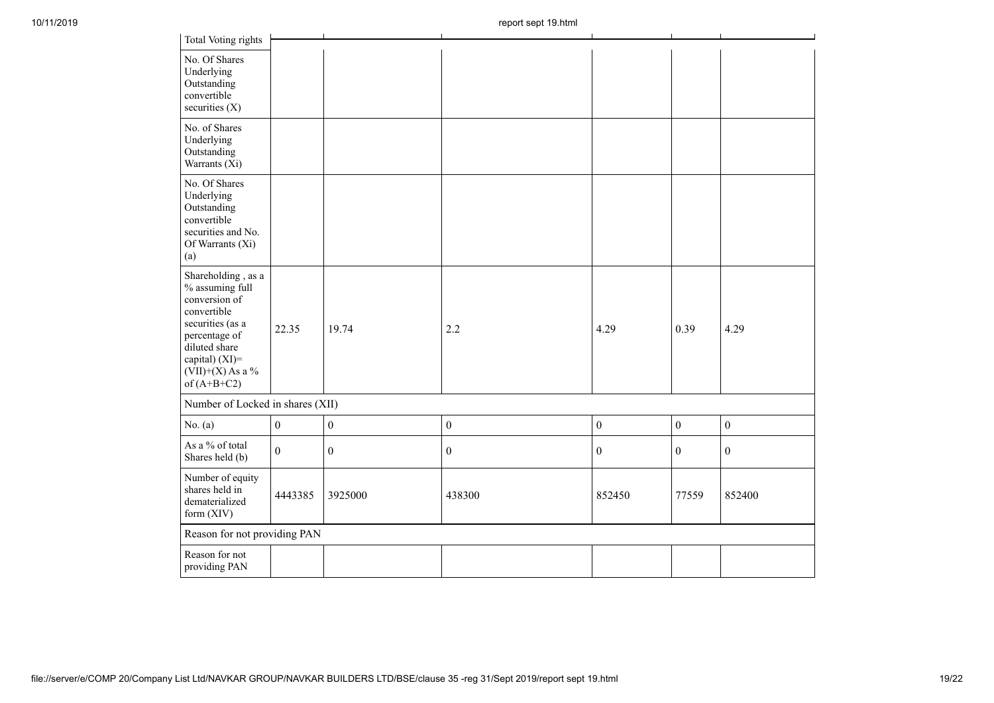| 10/11/2019 |                                                                                                                                                                                      |                                  |                  | report sept 19. ntml |                  |                  |                  |  |  |  |  |
|------------|--------------------------------------------------------------------------------------------------------------------------------------------------------------------------------------|----------------------------------|------------------|----------------------|------------------|------------------|------------------|--|--|--|--|
|            | Total Voting rights                                                                                                                                                                  |                                  |                  |                      |                  |                  |                  |  |  |  |  |
|            | No. Of Shares<br>Underlying<br>Outstanding<br>convertible<br>securities (X)                                                                                                          |                                  |                  |                      |                  |                  |                  |  |  |  |  |
|            | No. of Shares<br>Underlying<br>Outstanding<br>Warrants (Xi)                                                                                                                          |                                  |                  |                      |                  |                  |                  |  |  |  |  |
|            | No. Of Shares<br>Underlying<br>Outstanding<br>convertible<br>securities and No.<br>Of Warrants (Xi)<br>(a)                                                                           |                                  |                  |                      |                  |                  |                  |  |  |  |  |
|            | Shareholding, as a<br>% assuming full<br>conversion of<br>convertible<br>securities (as a<br>percentage of<br>diluted share<br>capital) (XI)=<br>$(VII)+(X)$ As a %<br>of $(A+B+C2)$ | 22.35                            | 19.74            | 2.2                  | 4.29             | 0.39             | 4.29             |  |  |  |  |
|            |                                                                                                                                                                                      | Number of Locked in shares (XII) |                  |                      |                  |                  |                  |  |  |  |  |
|            | No. $(a)$                                                                                                                                                                            | $\boldsymbol{0}$                 | $\boldsymbol{0}$ | $\boldsymbol{0}$     | $\boldsymbol{0}$ | $\boldsymbol{0}$ | $\boldsymbol{0}$ |  |  |  |  |
|            | As a % of total<br>Shares held (b)                                                                                                                                                   | $\mathbf{0}$                     | $\boldsymbol{0}$ | $\boldsymbol{0}$     | $\boldsymbol{0}$ | $\mathbf{0}$     | $\boldsymbol{0}$ |  |  |  |  |
|            | Number of equity<br>shares held in<br>dematerialized<br>form (XIV)                                                                                                                   | 4443385                          | 3925000          | 438300               | 852450           | 77559            | 852400           |  |  |  |  |
|            | Reason for not providing PAN                                                                                                                                                         |                                  |                  |                      |                  |                  |                  |  |  |  |  |
|            | Reason for not<br>providing PAN                                                                                                                                                      |                                  |                  |                      |                  |                  |                  |  |  |  |  |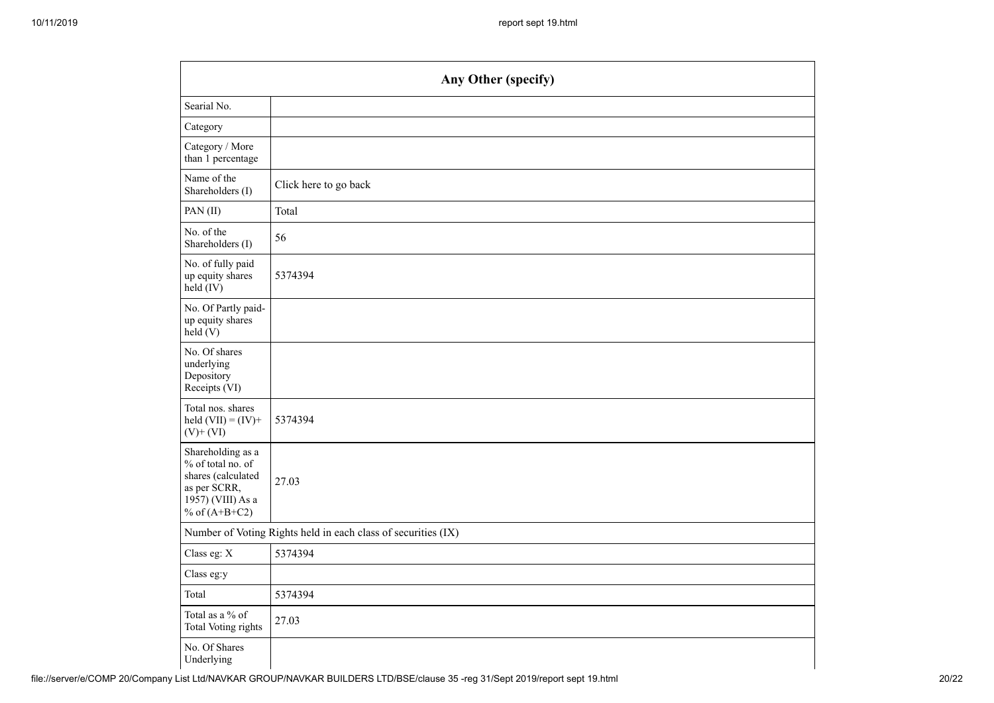|                                                                                                                      | Any Other (specify)                                           |  |  |  |  |  |  |  |  |
|----------------------------------------------------------------------------------------------------------------------|---------------------------------------------------------------|--|--|--|--|--|--|--|--|
| Searial No.                                                                                                          |                                                               |  |  |  |  |  |  |  |  |
| Category                                                                                                             |                                                               |  |  |  |  |  |  |  |  |
| Category / More<br>than 1 percentage                                                                                 |                                                               |  |  |  |  |  |  |  |  |
| Name of the<br>Shareholders (I)                                                                                      | Click here to go back                                         |  |  |  |  |  |  |  |  |
| PAN(II)                                                                                                              | Total                                                         |  |  |  |  |  |  |  |  |
| No. of the<br>Shareholders (I)                                                                                       | 56                                                            |  |  |  |  |  |  |  |  |
| No. of fully paid<br>up equity shares<br>held (IV)                                                                   | 5374394                                                       |  |  |  |  |  |  |  |  |
| No. Of Partly paid-<br>up equity shares<br>held(V)                                                                   |                                                               |  |  |  |  |  |  |  |  |
| No. Of shares<br>underlying<br>Depository<br>Receipts (VI)                                                           |                                                               |  |  |  |  |  |  |  |  |
| Total nos. shares<br>held $(VII) = (IV) +$<br>$(V) + (VI)$                                                           | 5374394                                                       |  |  |  |  |  |  |  |  |
| Shareholding as a<br>% of total no. of<br>shares (calculated<br>as per SCRR,<br>1957) (VIII) As a<br>% of $(A+B+C2)$ | 27.03                                                         |  |  |  |  |  |  |  |  |
|                                                                                                                      | Number of Voting Rights held in each class of securities (IX) |  |  |  |  |  |  |  |  |
| Class eg: X                                                                                                          | 5374394                                                       |  |  |  |  |  |  |  |  |
| Class eg:y                                                                                                           |                                                               |  |  |  |  |  |  |  |  |
| Total                                                                                                                | 5374394                                                       |  |  |  |  |  |  |  |  |
| Total as a $\%$ of<br><b>Total Voting rights</b>                                                                     | 27.03                                                         |  |  |  |  |  |  |  |  |
| No. Of Shares<br>Underlying                                                                                          |                                                               |  |  |  |  |  |  |  |  |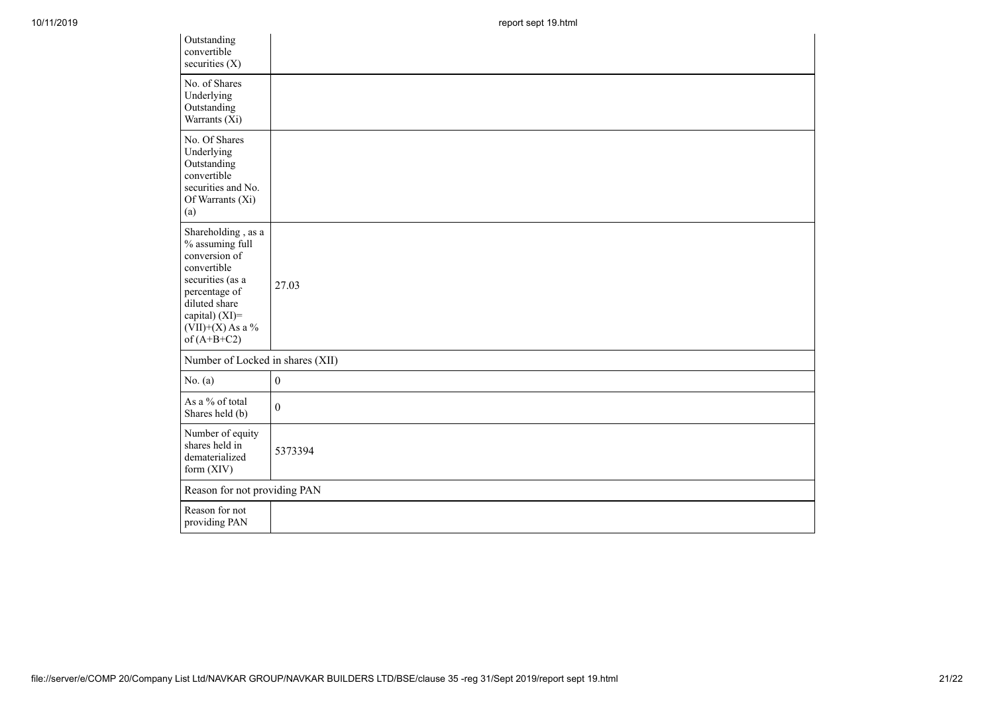| Outstanding<br>convertible<br>securities (X)                                                                                                                                         |                  |
|--------------------------------------------------------------------------------------------------------------------------------------------------------------------------------------|------------------|
| No. of Shares<br>Underlying<br>Outstanding<br>Warrants (Xi)                                                                                                                          |                  |
| No. Of Shares<br>Underlying<br>Outstanding<br>convertible<br>securities and No.<br>Of Warrants (Xi)<br>(a)                                                                           |                  |
| Shareholding, as a<br>% assuming full<br>conversion of<br>convertible<br>securities (as a<br>percentage of<br>diluted share<br>capital) (XI)=<br>$(VII)+(X)$ As a %<br>of $(A+B+C2)$ | 27.03            |
| Number of Locked in shares (XII)                                                                                                                                                     |                  |
| No. (a)                                                                                                                                                                              | $\boldsymbol{0}$ |
| As a % of total<br>Shares held (b)                                                                                                                                                   | $\theta$         |
| Number of equity<br>shares held in<br>dematerialized<br>form (XIV)                                                                                                                   | 5373394          |
| Reason for not providing PAN                                                                                                                                                         |                  |
| Reason for not<br>providing PAN                                                                                                                                                      |                  |